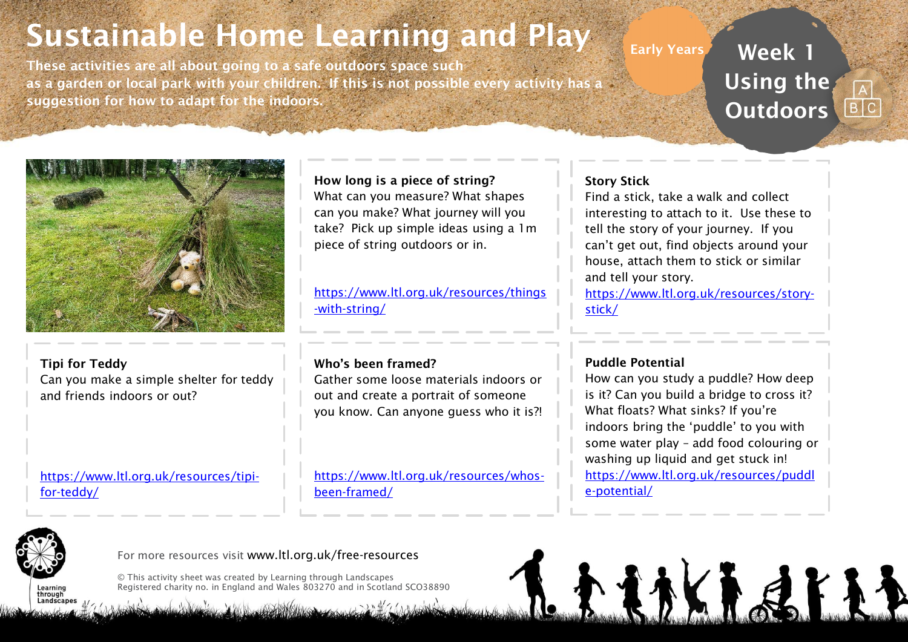## Sustainable Home Learning and Play

These activities are all about going to a safe outdoors space such as a garden or local park with your children. If this is not possible every activity has a suggestion for how to adapt for the indoors.

## Early Years **Week 1** Using the **Outdoors**



Tipi for Teddy Can you make a simple shelter for teddy and friends indoors or out?

[https://www.ltl.org.uk/resources/tipi](https://www.ltl.org.uk/resources/tipi-for-teddy/)[for-teddy/](https://www.ltl.org.uk/resources/tipi-for-teddy/)

How long is a piece of string? What can you measure? What shapes can you make? What journey will you take? Pick up simple ideas using a 1m piece of string outdoors or in.

[https://www.ltl.org.uk/resources/things](https://www.ltl.org.uk/resources/things-with-string/) [-with-string/](https://www.ltl.org.uk/resources/things-with-string/)

#### Who's been framed?

Gather some loose materials indoors or out and create a portrait of someone you know. Can anyone guess who it is?!

[https://www.ltl.org.uk/resources/whos](https://www.ltl.org.uk/resources/whos-been-framed/)[been-framed/](https://www.ltl.org.uk/resources/whos-been-framed/)

#### Story Stick

Find a stick, take a walk and collect interesting to attach to it. Use these to tell the story of your journey. If you can't get out, find objects around your house, attach them to stick or similar and tell your story.

[https://www.ltl.org.uk/resources/story](https://www.ltl.org.uk/resources/story-stick/)[stick/](https://www.ltl.org.uk/resources/story-stick/)

#### Puddle Potential

How can you study a puddle? How deep is it? Can you build a bridge to cross it? What floats? What sinks? If you're indoors bring the 'puddle' to you with some water play – add food colouring or washing up liquid and get stuck in! [https://www.ltl.org.uk/resources/puddl](https://www.ltl.org.uk/resources/puddle-potential/) [e-potential/](https://www.ltl.org.uk/resources/puddle-potential/)

たまかくも まよし



through Landscan For more resources visit www.ltl.org.uk/free-resources

© This activity sheet was created by Learning through Landscapes Registered charity no. in England and Wales 803270 and in Scotland SCO38890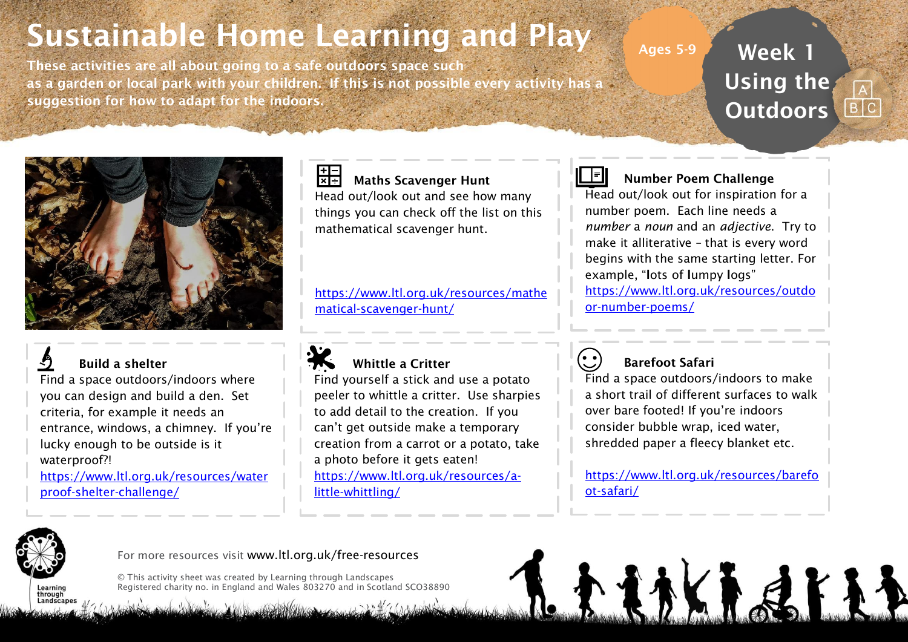# Sustainable Home Learning and Play

These activities are all about going to a safe outdoors space such as a garden or local park with your children. If this is not possible every activity has a suggestion for how to adapt for the indoors.

Week 1 Using the **Outdoors** 



### Build a shelter

Find a space outdoors/indoors where you can design and build a den. Set criteria, for example it needs an entrance, windows, a chimney. If you're lucky enough to be outside is it waterproof?!

[https://www.ltl.org.uk/resources/water](https://www.ltl.org.uk/resources/waterproof-shelter-challenge/) [proof-shelter-challenge/](https://www.ltl.org.uk/resources/waterproof-shelter-challenge/)

## H- Maths Scavenger Hunt

Head out/look out and see how many things you can check off the list on this mathematical scavenger hunt.

[https://www.ltl.org.uk/resources/mathe](https://www.ltl.org.uk/resources/mathematical-scavenger-hunt/) [matical-scavenger-hunt/](https://www.ltl.org.uk/resources/mathematical-scavenger-hunt/)



#### Whittle a Critter

Find yourself a stick and use a potato peeler to whittle a critter. Use sharpies to add detail to the creation. If you can't get outside make a temporary creation from a carrot or a potato, take a photo before it gets eaten! [https://www.ltl.org.uk/resources/a](https://www.ltl.org.uk/resources/a-little-whittling/)[little-whittling/](https://www.ltl.org.uk/resources/a-little-whittling/)



#### Number Poem Challenge

Ages 5-9

Head out/look out for inspiration for a number poem. Each line needs a *number* a *noun* and an *adjective*. Try to make it alliterative – that is every word begins with the same starting letter. For example, "lots of lumpy logs" [https://www.ltl.org.uk/resources/outdo](https://www.ltl.org.uk/resources/outdoor-number-poems/) [or-number-poems/](https://www.ltl.org.uk/resources/outdoor-number-poems/)

### Barefoot Safari

Find a space outdoors/indoors to make a short trail of different surfaces to walk over bare footed! If you're indoors consider bubble wrap, iced water, shredded paper a fleecy blanket etc.

[https://www.ltl.org.uk/resources/barefo](https://www.ltl.org.uk/resources/barefoot-safari/) [ot-safari/](https://www.ltl.org.uk/resources/barefoot-safari/)

**たまかくもまよ** 



through Landscape

#### For more resources visit www.ltl.org.uk/free-resources

© This activity sheet was created by Learning through Landscapes Registered charity no. in England and Wales 803270 and in Scotland SCO38890